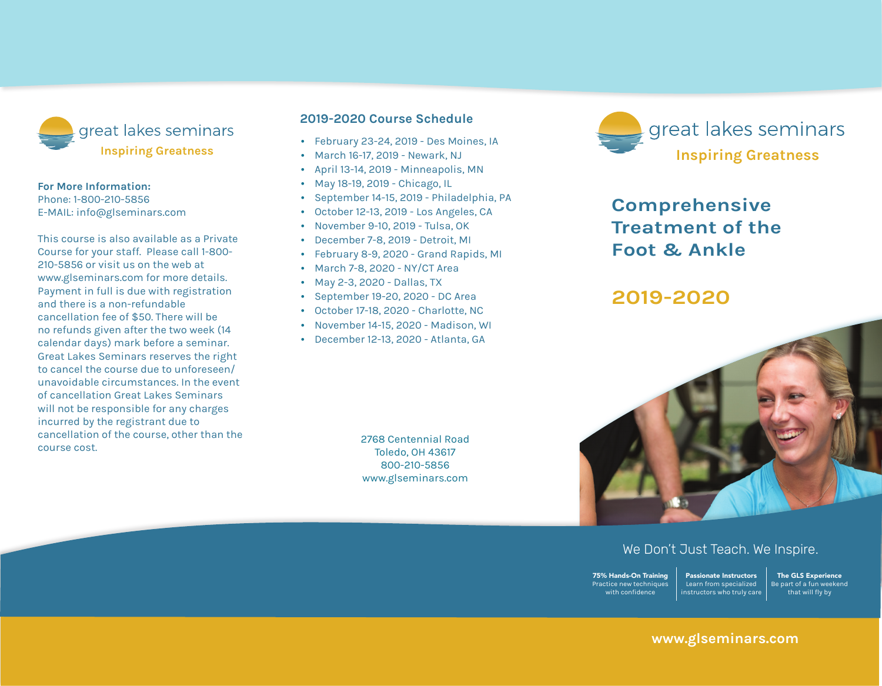

#### **For More Information:**

Phone: 1-800-210-5856 E-mail: info@glseminars.com

Payment in full is due with registration and there is a non-refundable cancellation fee of \$50. There will be no refunds given within two weeks (14 calendar days) of the seminar. Great Lakes Seminars reserves the right to cancel the course due to unforeseen/ unavoidable circumstances. In the event of a cancellation Great Lakes Seminars will not be responsible for any charges incurred by the registrant other than the course cost.

This course is also available as a private course for your staff. Please call 1-800-210-5856 or visit us on the web at www.glseminars.com for more details.

#### **2022 Course Schedule**

- January 8-9, 2022 Columbus, OH
- February 12-13, 2022 San Francisco, CA
- May 14-15, 2022 Warren, MI
- September 17-18, 2022 Asheville, NC
- October 15-16, 2022 Rockford, IL
- November 12-13, 2022 Alexandria, VA

Please check our website for the most updated schedule: www.glseminars.com



# **Comprehensive Treatment of the Foot & Ankle**

## **2022**



### We Don't Just Teach. We Inspire.

75% Hands-On Training Practice new techniques with confidence Passionate Instructors Learn from specialized instructors who truly care

The GLS Experience Be part of a fun weekend that will fly by

#### **www.glseminars.com**